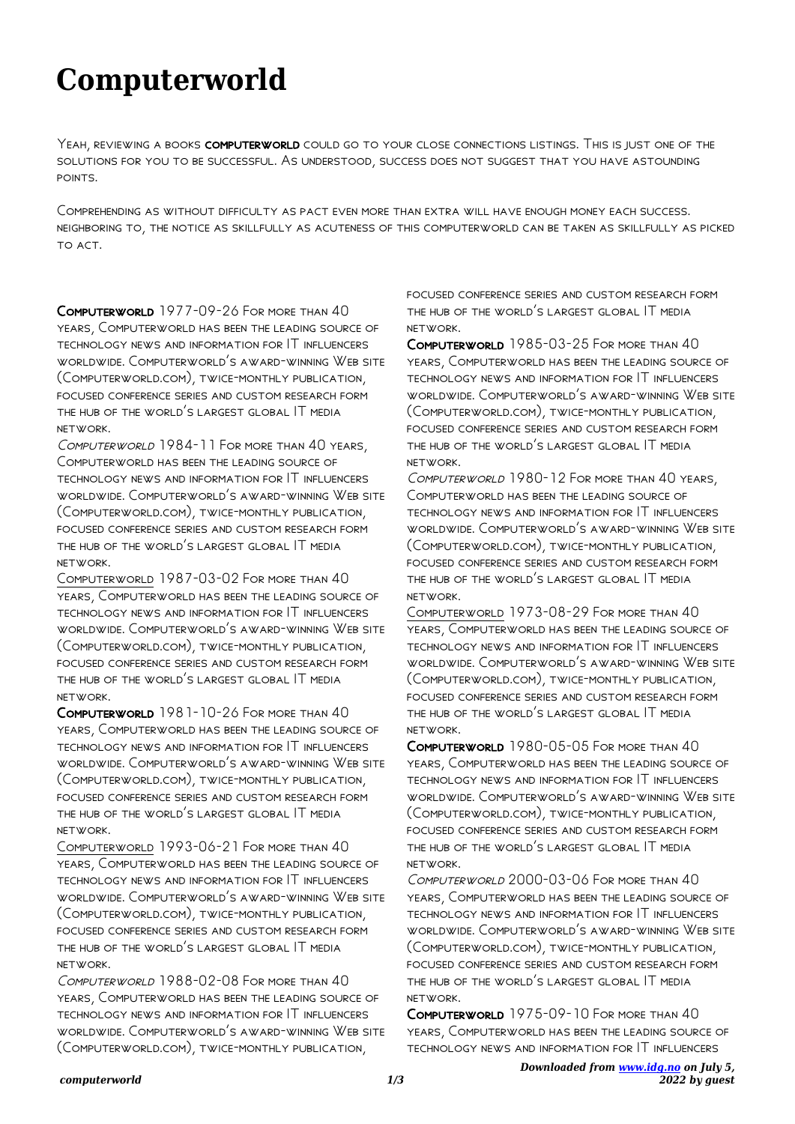## **Computerworld**

Yeah, reviewing a books computerworld could go to your close connections listings. This is just one of the solutions for you to be successful. As understood, success does not suggest that you have astounding points.

Comprehending as without difficulty as pact even more than extra will have enough money each success. neighboring to, the notice as skillfully as acuteness of this computerworld can be taken as skillfully as picked to act.

Computerworld 1977-09-26 For more than 40 years, Computerworld has been the leading source of technology news and information for IT influencers worldwide. Computerworld's award-winning Web site (Computerworld.com), twice-monthly publication, focused conference series and custom research form the hub of the world's largest global IT media network.

Computerworld 1984-11 For more than 40 years, Computerworld has been the leading source of technology news and information for IT influencers worldwide. Computerworld's award-winning Web site (Computerworld.com), twice-monthly publication, focused conference series and custom research form the hub of the world's largest global IT media network.

Computerworld 1987-03-02 For more than 40 years, Computerworld has been the leading source of technology news and information for IT influencers worldwide. Computerworld's award-winning Web site (Computerworld.com), twice-monthly publication, focused conference series and custom research form the hub of the world's largest global IT media network.

Computerworld 1981-10-26 For more than 40 years, Computerworld has been the leading source of technology news and information for IT influencers worldwide. Computerworld's award-winning Web site (Computerworld.com), twice-monthly publication, focused conference series and custom research form the hub of the world's largest global IT media network.

Computerworld 1993-06-21 For more than 40 years, Computerworld has been the leading source of technology news and information for IT influencers worldwide. Computerworld's award-winning Web site (Computerworld.com), twice-monthly publication, focused conference series and custom research form the hub of the world's largest global IT media network.

Computerworld 1988-02-08 For more than 40 years, Computerworld has been the leading source of technology news and information for IT influencers worldwide. Computerworld's award-winning Web site (Computerworld.com), twice-monthly publication,

focused conference series and custom research form the hub of the world's largest global IT media network.

Computerworld 1985-03-25 For more than 40 years, Computerworld has been the leading source of technology news and information for IT influencers worldwide. Computerworld's award-winning Web site (Computerworld.com), twice-monthly publication, focused conference series and custom research form the hub of the world's largest global IT media network.

Computerworld 1980-12 For more than 40 years, Computerworld has been the leading source of technology news and information for IT influencers worldwide. Computerworld's award-winning Web site (Computerworld.com), twice-monthly publication, focused conference series and custom research form the hub of the world's largest global IT media network.

Computerworld 1973-08-29 For more than 40 years, Computerworld has been the leading source of technology news and information for IT influencers worldwide. Computerworld's award-winning Web site (Computerworld.com), twice-monthly publication, focused conference series and custom research form the hub of the world's largest global IT media network.

Computerworld 1980-05-05 For more than 40 years, Computerworld has been the leading source of technology news and information for IT influencers worldwide. Computerworld's award-winning Web site (Computerworld.com), twice-monthly publication, focused conference series and custom research form the hub of the world's largest global IT media network.

Computerworld 2000-03-06 For more than 40 years, Computerworld has been the leading source of technology news and information for IT influencers worldwide. Computerworld's award-winning Web site (Computerworld.com), twice-monthly publication, focused conference series and custom research form the hub of the world's largest global IT media network.

Computerworld 1975-09-10 For more than 40 years, Computerworld has been the leading source of technology news and information for IT influencers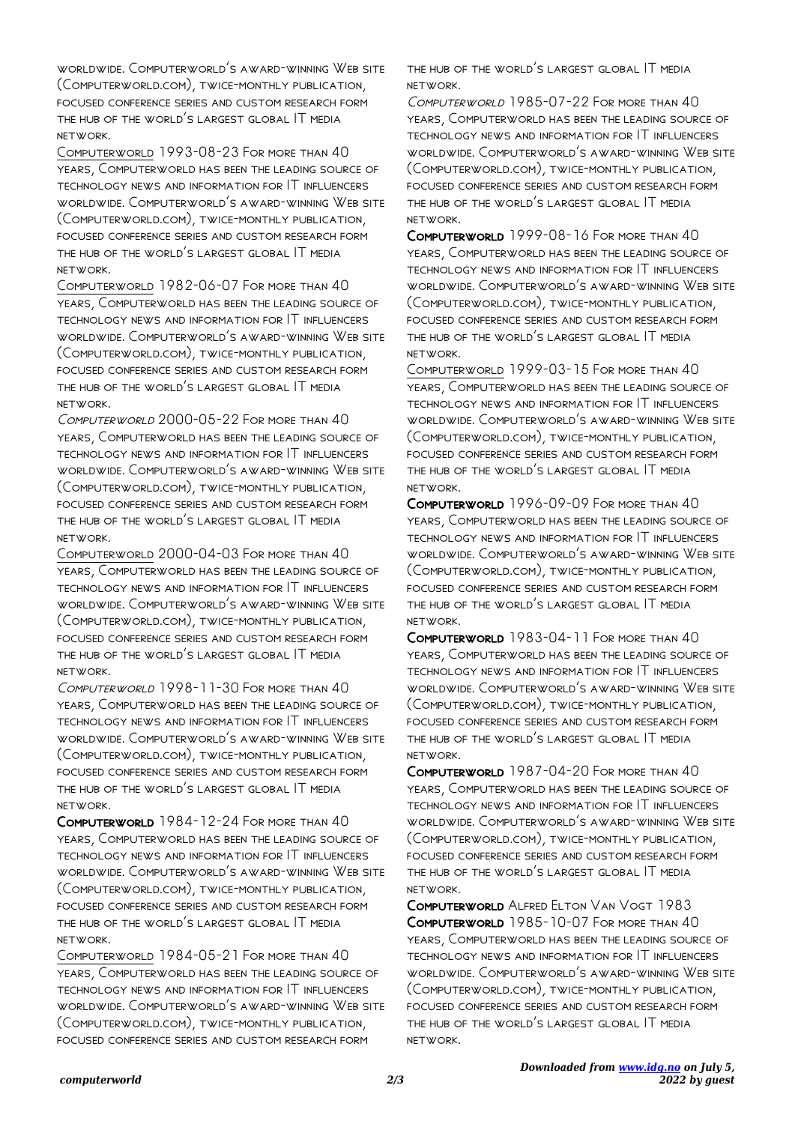worldwide. Computerworld's award-winning Web site (Computerworld.com), twice-monthly publication, focused conference series and custom research form the hub of the world's largest global IT media network.

Computerworld 1993-08-23 For more than 40 years, Computerworld has been the leading source of technology news and information for IT influencers worldwide. Computerworld's award-winning Web site (Computerworld.com), twice-monthly publication, focused conference series and custom research form the hub of the world's largest global IT media network.

Computerworld 1982-06-07 For more than 40 years, Computerworld has been the leading source of technology news and information for IT influencers worldwide. Computerworld's award-winning Web site (Computerworld.com), twice-monthly publication, focused conference series and custom research form the hub of the world's largest global IT media network.

COMPUTERWORLD 2000-05-22 FOR MORE THAN 40 years, Computerworld has been the leading source of technology news and information for IT influencers worldwide. Computerworld's award-winning Web site (Computerworld.com), twice-monthly publication, focused conference series and custom research form the hub of the world's largest global IT media network.

Computerworld 2000-04-03 For more than 40 years, Computerworld has been the leading source of technology news and information for IT influencers worldwide. Computerworld's award-winning Web site (Computerworld.com), twice-monthly publication, focused conference series and custom research form the hub of the world's largest global IT media network.

Computerworld 1998-11-30 For more than 40 years, Computerworld has been the leading source of technology news and information for IT influencers worldwide. Computerworld's award-winning Web site (Computerworld.com), twice-monthly publication, focused conference series and custom research form the hub of the world's largest global IT media network.

Computerworld 1984-12-24 For more than 40 years, Computerworld has been the leading source of technology news and information for IT influencers worldwide. Computerworld's award-winning Web site (Computerworld.com), twice-monthly publication, focused conference series and custom research form the hub of the world's largest global IT media network.

Computerworld 1984-05-21 For more than 40 years, Computerworld has been the leading source of technology news and information for IT influencers worldwide. Computerworld's award-winning Web site (Computerworld.com), twice-monthly publication, focused conference series and custom research form

the hub of the world's largest global IT media network.

COMPUTERWORLD 1985-07-22 FOR MORE THAN 40 years, Computerworld has been the leading source of technology news and information for IT influencers worldwide. Computerworld's award-winning Web site (Computerworld.com), twice-monthly publication, focused conference series and custom research form the hub of the world's largest global IT media network.

Computerworld 1999-08-16 For more than 40 years, Computerworld has been the leading source of technology news and information for IT influencers worldwide. Computerworld's award-winning Web site (Computerworld.com), twice-monthly publication, focused conference series and custom research form the hub of the world's largest global IT media network.

Computerworld 1999-03-15 For more than 40 years, Computerworld has been the leading source of technology news and information for IT influencers worldwide. Computerworld's award-winning Web site (Computerworld.com), twice-monthly publication, focused conference series and custom research form the hub of the world's largest global IT media network.

Computerworld 1996-09-09 For more than 40 years, Computerworld has been the leading source of technology news and information for IT influencers worldwide. Computerworld's award-winning Web site (Computerworld.com), twice-monthly publication, focused conference series and custom research form the hub of the world's largest global IT media network.

COMPUTERWORLD 1983-04-11 FOR MORE THAN 40 years, Computerworld has been the leading source of technology news and information for IT influencers worldwide. Computerworld's award-winning Web site (Computerworld.com), twice-monthly publication, focused conference series and custom research form the hub of the world's largest global IT media network.

Computerworld 1987-04-20 For more than 40 years, Computerworld has been the leading source of technology news and information for IT influencers worldwide. Computerworld's award-winning Web site (Computerworld.com), twice-monthly publication, focused conference series and custom research form the hub of the world's largest global IT media network.

Computerworld Alfred Elton Van Vogt 1983 Computerworld 1985-10-07 For more than 40 years, Computerworld has been the leading source of technology news and information for IT influencers worldwide. Computerworld's award-winning Web site (Computerworld.com), twice-monthly publication, focused conference series and custom research form the hub of the world's largest global IT media network.